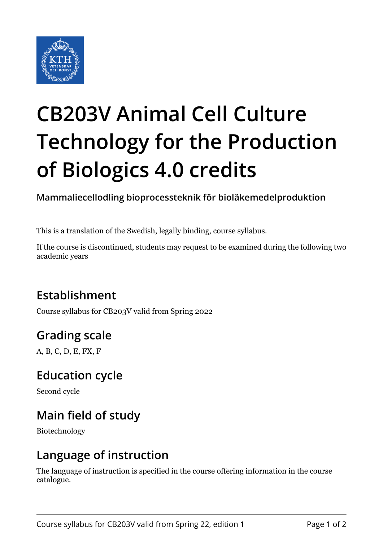

# **CB203V Animal Cell Culture Technology for the Production of Biologics 4.0 credits**

**Mammaliecellodling bioprocessteknik för bioläkemedelproduktion**

This is a translation of the Swedish, legally binding, course syllabus.

If the course is discontinued, students may request to be examined during the following two academic years

# **Establishment**

Course syllabus for CB203V valid from Spring 2022

# **Grading scale**

A, B, C, D, E, FX, F

#### **Education cycle**

Second cycle

# **Main field of study**

Biotechnology

#### **Language of instruction**

The language of instruction is specified in the course offering information in the course catalogue.